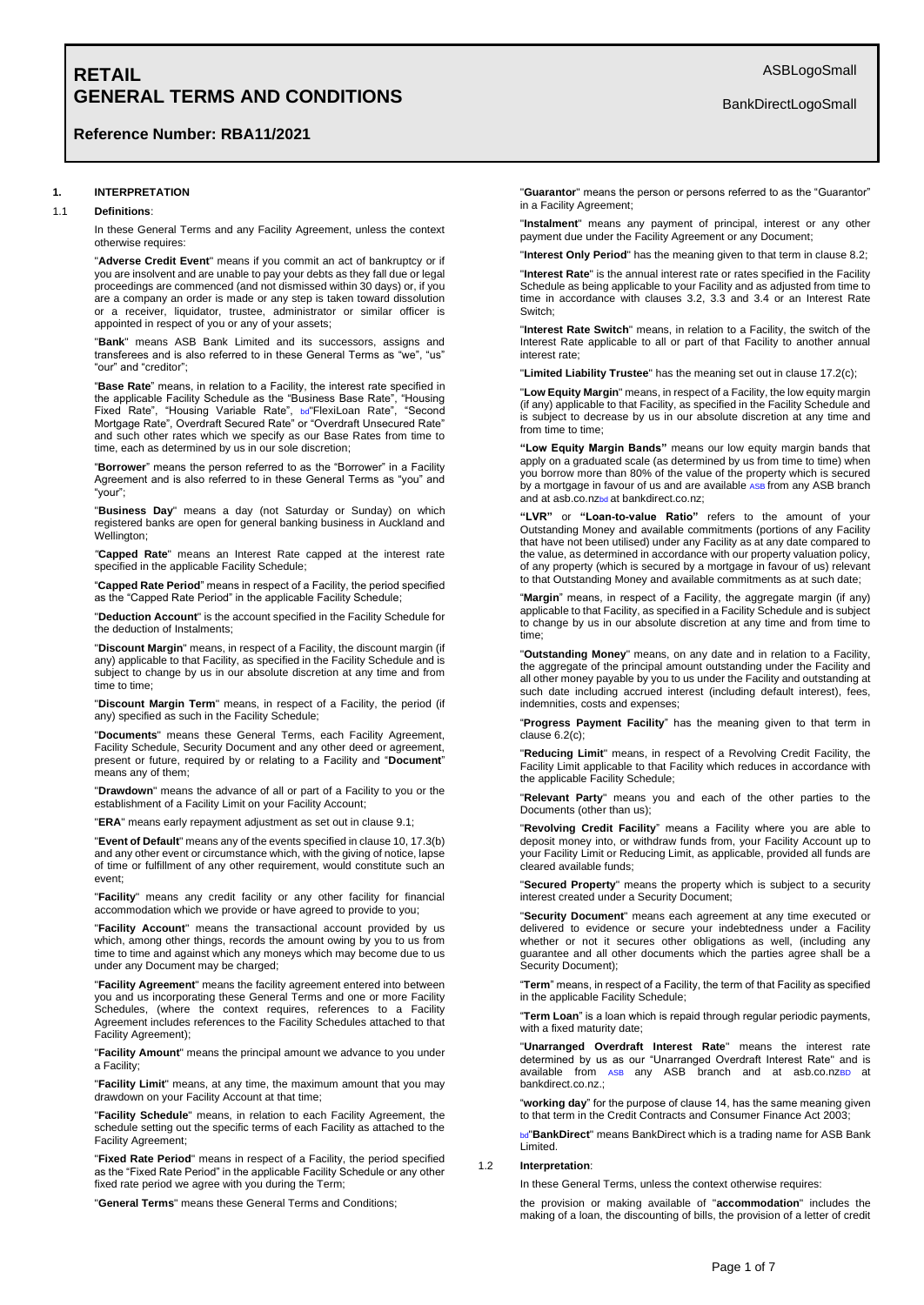# **Reference Number: RBA11/2021**

# **1. INTERPRETATION**

#### 1.1 **Definitions**:

In these General Terms and any Facility Agreement, unless the context otherwise requires:

"**Adverse Credit Event**" means if you commit an act of bankruptcy or if you are insolvent and are unable to pay your debts as they fall due or legal proceedings are commenced (and not dismissed within 30 days) or, if you are a company an order is made or any step is taken toward dissolution or a receiver, liquidator, trustee, administrator or similar officer is appointed in respect of you or any of your assets;

"**Bank**" means ASB Bank Limited and its successors, assigns and transferees and is also referred to in these General Terms as "we", "us" "our" and "creditor";

"**Base Rate**" means, in relation to a Facility, the interest rate specified in the applicable Facility Schedule as the "Business Base Rate", "Housing Fixed Rate", "Housing Variable Rate", bd"FlexiLoan Rate", "Second Mortgage Rate", Overdraft Secured Rate" or "Overdraft Unsecured Rate" and such other rates which we specify as our Base Rates from time to time, each as determined by us in our sole discretion;

"**Borrower**" means the person referred to as the "Borrower" in a Facility Agreement and is also referred to in these General Terms as "you" and "your";

"**Business Day**" means a day (not Saturday or Sunday) on which registered banks are open for general banking business in Auckland and Wellington:

*"***Capped Rate**" means an Interest Rate capped at the interest rate specified in the applicable Facility Schedule;

"**Capped Rate Period**" means in respect of a Facility, the period specified as the "Capped Rate Period" in the applicable Facility Schedule;

"**Deduction Account**" is the account specified in the Facility Schedule for the deduction of Instalments;

"**Discount Margin**" means, in respect of a Facility, the discount margin (if any) applicable to that Facility, as specified in the Facility Schedule and is subject to change by us in our absolute discretion at any time and from time to time;

"**Discount Margin Term**" means, in respect of a Facility, the period (if any) specified as such in the Facility Schedule;

"**Documents**" means these General Terms, each Facility Agreement, Facility Schedule, Security Document and any other deed or agreement, present or future, required by or relating to a Facility and "**Document**" means any of them;

"**Drawdown**" means the advance of all or part of a Facility to you or the establishment of a Facility Limit on your Facility Account;

"**ERA**" means early repayment adjustment as set out in clause 9.1;

"**Event of Default**" means any of the events specified in clause 10, 17.3(b) and any other event or circumstance which, with the giving of notice, lapse of time or fulfillment of any other requirement, would constitute such an event;

"**Facility**" means any credit facility or any other facility for financial accommodation which we provide or have agreed to provide to you;

"**Facility Account**" means the transactional account provided by us which, among other things, records the amount owing by you to us from time to time and against which any moneys which may become due to us under any Document may be charged;

"**Facility Agreement**" means the facility agreement entered into between you and us incorporating these General Terms and one or more Facility Schedules, (where the context requires, references to a Facility Agreement includes references to the Facility Schedules attached to that Facility Agreement);

"**Facility Amount**" means the principal amount we advance to you under a Facility;

"**Facility Limit**" means, at any time, the maximum amount that you may drawdown on your Facility Account at that time;

"**Facility Schedule**" means, in relation to each Facility Agreement, the schedule setting out the specific terms of each Facility as attached to the Facility Agreement;

"**Fixed Rate Period**" means in respect of a Facility, the period specified as the "Fixed Rate Period" in the applicable Facility Schedule or any other fixed rate period we agree with you during the Term;

"**General Terms**" means these General Terms and Conditions;

BankDirectLogoSmall

"**Guarantor**" means the person or persons referred to as the "Guarantor" in a Facility Agreement;

"**Instalment**" means any payment of principal, interest or any other payment due under the Facility Agreement or any Document;

"**Interest Only Period**" has the meaning given to that term in clause 8.2;

"**Interest Rate**" is the annual interest rate or rates specified in the Facility Schedule as being applicable to your Facility and as adjusted from time to time in accordance with clauses 3.2, 3.3 and 3.4 or an Interest Rate Switch;

"**Interest Rate Switch**" means, in relation to a Facility, the switch of the Interest Rate applicable to all or part of that Facility to another annual interest rate;

"**Limited Liability Trustee**" has the meaning set out in clause 17.2(c);

"**Low Equity Margin**" means, in respect of a Facility, the low equity margin (if any) applicable to that Facility, as specified in the Facility Schedule and is subject to decrease by us in our absolute discretion at any time and from time to time;

**"Low Equity Margin Bands"** means our low equity margin bands that apply on a graduated scale (as determined by us from time to time) when you borrow more than 80% of the value of the property which is secured by a mortgage in favour of us and are available ASB from any ASB branch and at asb.co.nzbd at bankdirect.co.nz;

**"LVR"** or **"Loan-to-value Ratio"** refers to the amount of your Outstanding Money and available commitments (portions of any Facility that have not been utilised) under any Facility as at any date compared to the value, as determined in accordance with our property valuation policy, of any property (which is secured by a mortgage in favour of us) relevant to that Outstanding Money and available commitments as at such date;

"**Margin**" means, in respect of a Facility, the aggregate margin (if any) applicable to that Facility, as specified in a Facility Schedule and is subject to change by us in our absolute discretion at any time and from time to time;

"**Outstanding Money**" means, on any date and in relation to a Facility, the aggregate of the principal amount outstanding under the Facility and all other money payable by you to us under the Facility and outstanding at such date including accrued interest (including default interest), fees, indemnities, costs and expenses;

"**Progress Payment Facility**" has the meaning given to that term in clause 6.2(c);

"**Reducing Limit**" means, in respect of a Revolving Credit Facility, the Facility Limit applicable to that Facility which reduces in accordance with the applicable Facility Schedule;

"**Relevant Party**" means you and each of the other parties to the Documents (other than us);

"**Revolving Credit Facility**" means a Facility where you are able to deposit money into, or withdraw funds from, your Facility Account up to your Facility Limit or Reducing Limit, as applicable, provided all funds are cleared available funds;

"**Secured Property**" means the property which is subject to a security interest created under a Security Document;

"**Security Document**" means each agreement at any time executed or delivered to evidence or secure your indebtedness under a Facility whether or not it secures other obligations as well, (including any guarantee and all other documents which the parties agree shall be a Security Document);

"**Term**" means, in respect of a Facility, the term of that Facility as specified in the applicable Facility Schedule;

"**Term Loan**" is a loan which is repaid through regular periodic payments, with a fixed maturity date;

"**Unarranged Overdraft Interest Rate**" means the interest rate determined by us as our "Unarranged Overdraft Interest Rate" and is available from ASB any ASB branch and at asb.co.nzBD at bankdirect.co.nz.;

"**working day**" for the purpose of clause 14, has the same meaning given to that term in the Credit Contracts and Consumer Finance Act 2003;

bd"**BankDirect**" means BankDirect which is a trading name for ASB Bank Limited.

### 1.2 **Interpretation**:

In these General Terms, unless the context otherwise requires:

the provision or making available of "**accommodation**" includes the making of a loan, the discounting of bills, the provision of a letter of credit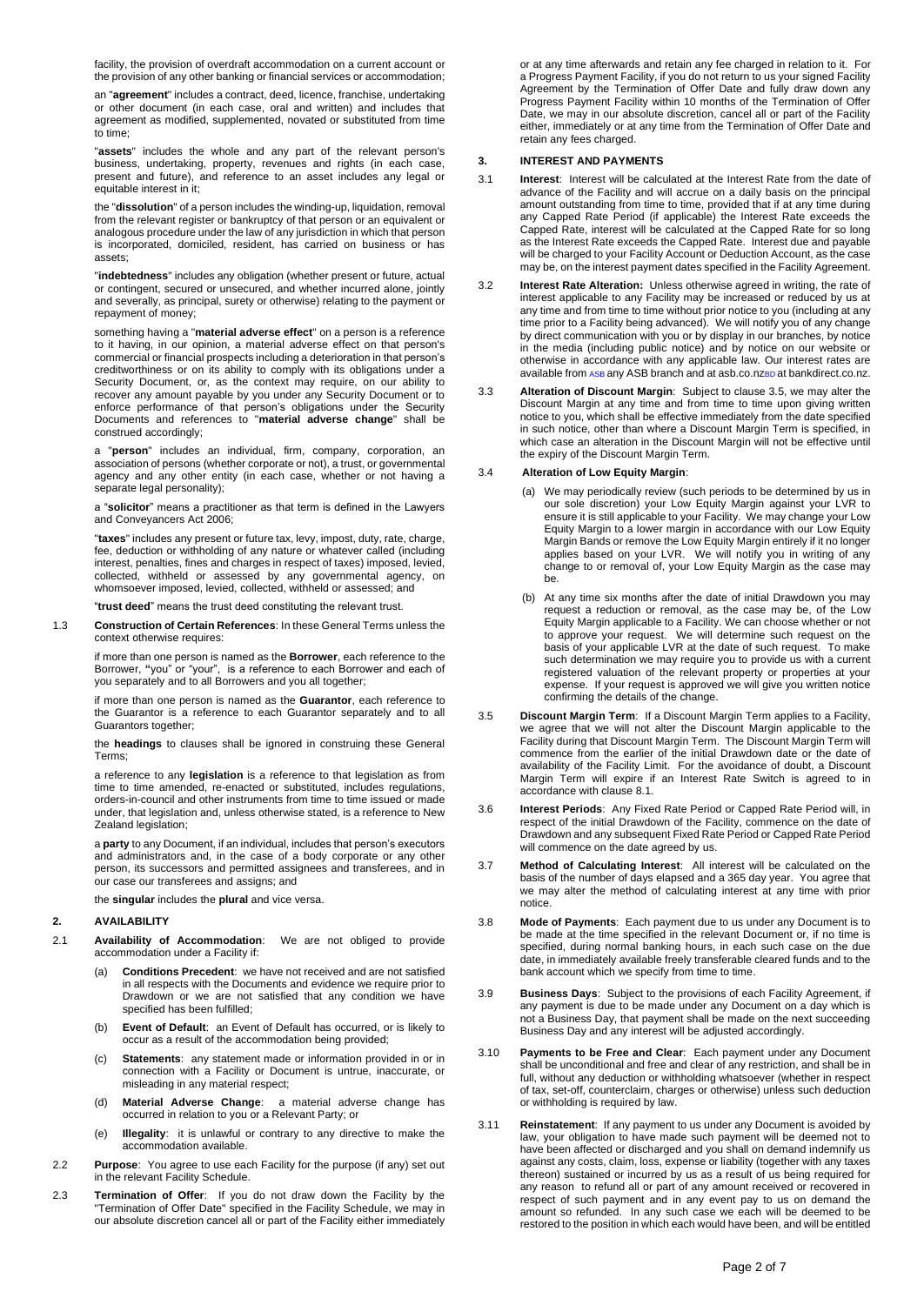facility, the provision of overdraft accommodation on a current account or the provision of any other banking or financial services or accommodation;

an "**agreement**" includes a contract, deed, licence, franchise, undertaking or other document (in each case, oral and written) and includes that agreement as modified, supplemented, novated or substituted from time to time;

"**assets**" includes the whole and any part of the relevant person's business, undertaking, property, revenues and rights (in each case, present and future), and reference to an asset includes any legal or equitable interest in it;

the "**dissolution**" of a person includes the winding-up, liquidation, removal from the relevant register or bankruptcy of that person or an equivalent or analogous procedure under the law of any jurisdiction in which that person is incorporated, domiciled, resident, has carried on business or has assets;

"**indebtedness**" includes any obligation (whether present or future, actual or contingent, secured or unsecured, and whether incurred alone, jointly and severally, as principal, surety or otherwise) relating to the payment or repayment of money;

something having a "**material adverse effect**" on a person is a reference to it having, in our opinion, a material adverse effect on that person's commercial or financial prospects including a deterioration in that person's creditworthiness or on its ability to comply with its obligations under a Security Document, or, as the context may require, on our ability to recover any amount payable by you under any Security Document or to enforce performance of that person's obligations under the Security Documents and references to "**material adverse change**" shall be construed accordingly;

a "**person**" includes an individual, firm, company, corporation, an association of persons (whether corporate or not), a trust, or governmental agency and any other entity (in each case, whether or not having a separate legal personality);

a "**solicitor**" means a practitioner as that term is defined in the Lawyers and Conveyancers Act 2006;

"**taxes**" includes any present or future tax, levy, impost, duty, rate, charge, fee, deduction or withholding of any nature or whatever called (including interest, penalties, fines and charges in respect of taxes) imposed, levied, collected, withheld or assessed by any governmental agency, on whomsoever imposed, levied, collected, withheld or assessed; and

"**trust deed**" means the trust deed constituting the relevant trust.

1.3 **Construction of Certain References**: In these General Terms unless the context otherwise requires:

> if more than one person is named as the **Borrower**, each reference to the Borrower, **"**you" or "your", is a reference to each Borrower and each of you separately and to all Borrowers and you all together;

> if more than one person is named as the **Guarantor**, each reference to the Guarantor is a reference to each Guarantor separately and to all Guarantors together;

> the **headings** to clauses shall be ignored in construing these General Terms;

> a reference to any **legislation** is a reference to that legislation as from time to time amended, re-enacted or substituted, includes regulations, orders-in-council and other instruments from time to time issued or made under, that legislation and, unless otherwise stated, is a reference to New Zealand legislation;

> a **party** to any Document, if an individual, includes that person's executors and administrators and, in the case of a body corporate or any other person, its successors and permitted assignees and transferees, and in our case our transferees and assigns; and

the **singular** includes the **plural** and vice versa.

### **2. AVAILABILITY**

- 2.1 **Availability of Accommodation**: We are not obliged to provide accommodation under a Facility if:
	- (a) **Conditions Precedent**: we have not received and are not satisfied in all respects with the Documents and evidence we require prior to Drawdown or we are not satisfied that any condition we have specified has been fulfilled;
	- (b) **Event of Default**: an Event of Default has occurred, or is likely to occur as a result of the accommodation being provided;
	- (c) **Statements**: any statement made or information provided in or in connection with a Facility or Document is untrue, inaccurate, or misleading in any material respect;
	- (d) **Material Adverse Change**: a material adverse change has occurred in relation to you or a Relevant Party; or
	- (e) **Illegality**: it is unlawful or contrary to any directive to make the accommodation available.
- 2.2 **Purpose**: You agree to use each Facility for the purpose (if any) set out in the relevant Facility Schedule.
- 2.3 **Termination of Offer**: If you do not draw down the Facility by the "Termination of Offer Date" specified in the Facility Schedule, we may in our absolute discretion cancel all or part of the Facility either immediately

or at any time afterwards and retain any fee charged in relation to it. For a Progress Payment Facility, if you do not return to us your signed Facility Agreement by the Termination of Offer Date and fully draw down any Progress Payment Facility within 10 months of the Termination of Offer Date, we may in our absolute discretion, cancel all or part of the Facility either, immediately or at any time from the Termination of Offer Date and retain any fees charged.

### **3. INTEREST AND PAYMENTS**

- 3.1 **Interest**: Interest will be calculated at the Interest Rate from the date of advance of the Facility and will accrue on a daily basis on the principal amount outstanding from time to time, provided that if at any time during any Capped Rate Period (if applicable) the Interest Rate exceeds the Capped Rate, interest will be calculated at the Capped Rate for so long as the Interest Rate exceeds the Capped Rate. Interest due and payable will be charged to your Facility Account or Deduction Account, as the case may be, on the interest payment dates specified in the Facility Agreement.
- 3.2 **Interest Rate Alteration:** Unless otherwise agreed in writing, the rate of interest applicable to any Facility may be increased or reduced by us at any time and from time to time without prior notice to you (including at any time prior to a Facility being advanced). We will notify you of any change by direct communication with you or by display in our branches, by notice in the media (including public notice) and by notice on our website or otherwise in accordance with any applicable law. Our interest rates are available from ASB any ASB branch and at asb.co.nzBD at bankdirect.co.nz.
- 3.3 **Alteration of Discount Margin**: Subject to clause 3.5, we may alter the Discount Margin at any time and from time to time upon giving written notice to you, which shall be effective immediately from the date specified in such notice, other than where a Discount Margin Term is specified, in which case an alteration in the Discount Margin will not be effective until the expiry of the Discount Margin Term.

### 3.4 **Alteration of Low Equity Margin**:

- (a) We may periodically review (such periods to be determined by us in our sole discretion) your Low Equity Margin against your LVR to ensure it is still applicable to your Facility. We may change your Low Equity Margin to a lower margin in accordance with our Low Equity Margin Bands or remove the Low Equity Margin entirely if it no longer applies based on your LVR. We will notify you in writing of any change to or removal of, your Low Equity Margin as the case may be.
- (b) At any time six months after the date of initial Drawdown you may request a reduction or removal, as the case may be, of the Low Equity Margin applicable to a Facility. We can choose whether or not to approve your request. We will determine such request on the basis of your applicable LVR at the date of such request. To make such determination we may require you to provide us with a current registered valuation of the relevant property or properties at your expense. If your request is approved we will give you written notice confirming the details of the change.
- 3.5 **Discount Margin Term**: If a Discount Margin Term applies to a Facility, we agree that we will not alter the Discount Margin applicable to the Facility during that Discount Margin Term. The Discount Margin Term will commence from the earlier of the initial Drawdown date or the date of availability of the Facility Limit. For the avoidance of doubt, a Discount Margin Term will expire if an Interest Rate Switch is agreed to in accordance with clause 8.1.
- 3.6 **Interest Periods**: Any Fixed Rate Period or Capped Rate Period will, in respect of the initial Drawdown of the Facility, commence on the date of Drawdown and any subsequent Fixed Rate Period or Capped Rate Period will commence on the date agreed by us.
- 3.7 **Method of Calculating Interest**: All interest will be calculated on the basis of the number of days elapsed and a 365 day year. You agree that we may alter the method of calculating interest at any time with prior notice.
- 3.8 **Mode of Payments**: Each payment due to us under any Document is to be made at the time specified in the relevant Document or, if no time is specified, during normal banking hours, in each such case on the due date, in immediately available freely transferable cleared funds and to the bank account which we specify from time to time.
- 3.9 **Business Days**: Subject to the provisions of each Facility Agreement, if any payment is due to be made under any Document on a day which is not a Business Day, that payment shall be made on the next succeeding Business Day and any interest will be adjusted accordingly.
- 3.10 **Payments to be Free and Clear**: Each payment under any Document shall be unconditional and free and clear of any restriction, and shall be in full, without any deduction or withholding whatsoever (whether in respect of tax, set-off, counterclaim, charges or otherwise) unless such deduction or withholding is required by law.
- 3.11 **Reinstatement**: If any payment to us under any Document is avoided by law, your obligation to have made such payment will be deemed not to have been affected or discharged and you shall on demand indemnify us against any costs, claim, loss, expense or liability (together with any taxes thereon) sustained or incurred by us as a result of us being required for any reason to refund all or part of any amount received or recovered in respect of such payment and in any event pay to us on demand the amount so refunded. In any such case we each will be deemed to be restored to the position in which each would have been, and will be entitled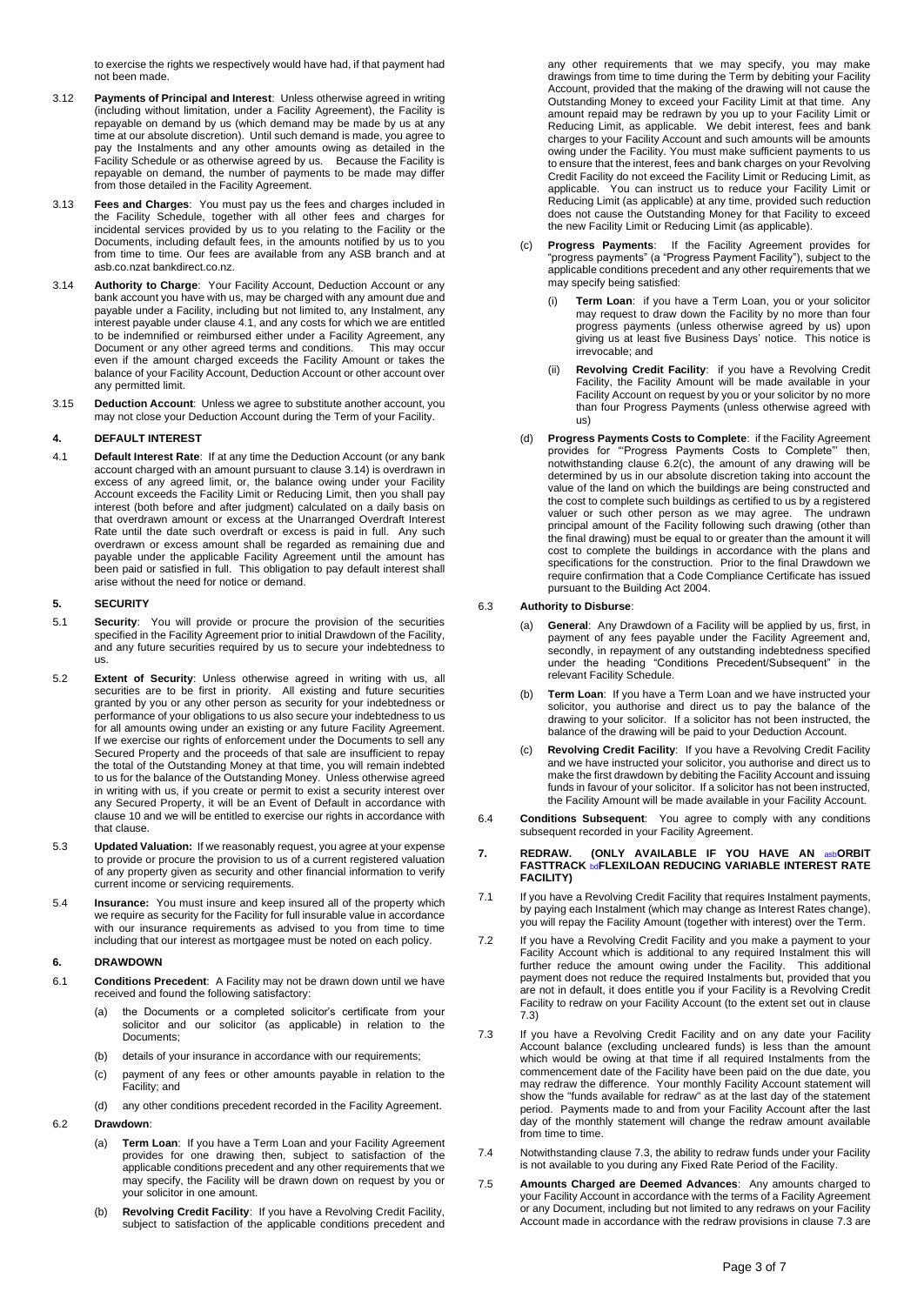to exercise the rights we respectively would have had, if that payment had not been made.

- 3.12 **Payments of Principal and Interest**: Unless otherwise agreed in writing (including without limitation, under a Facility Agreement), the Facility is repayable on demand by us (which demand may be made by us at any time at our absolute discretion). Until such demand is made, you agree to pay the Instalments and any other amounts owing as detailed in the Facility Schedule or as otherwise agreed by us. Because the Facility is repayable on demand, the number of payments to be made may differ from those detailed in the Facility Agreement.
- 3.13 **Fees and Charges**: You must pay us the fees and charges included in the Facility Schedule, together with all other fees and charges for incidental services provided by us to you relating to the Facility or the Documents, including default fees, in the amounts notified by us to you from time to time. Our fees are available from any ASB branch and at asb.co.nzat bankdirect.co.nz.
- 3.14 **Authority to Charge**: Your Facility Account, Deduction Account or any bank account you have with us, may be charged with any amount due and payable under a Facility, including but not limited to, any Instalment, any interest payable under clause 4.1, and any costs for which we are entitled to be indemnified or reimbursed either under a Facility Agreement, any Document or any other agreed terms and conditions. This may occur even if the amount charged exceeds the Facility Amount or takes the balance of your Facility Account, Deduction Account or other account over any permitted limit.
- 3.15 **Deduction Account**: Unless we agree to substitute another account, you may not close your Deduction Account during the Term of your Facility.

# **4. DEFAULT INTEREST**

4.1 **Default Interest Rate**: If at any time the Deduction Account (or any bank account charged with an amount pursuant to clause 3.14) is overdrawn in excess of any agreed limit, or, the balance owing under your Facility Account exceeds the Facility Limit or Reducing Limit, then you shall pay interest (both before and after judgment) calculated on a daily basis on that overdrawn amount or excess at the Unarranged Overdraft Interest Rate until the date such overdraft or excess is paid in full. Any such overdrawn or excess amount shall be regarded as remaining due and payable under the applicable Facility Agreement until the amount has been paid or satisfied in full. This obligation to pay default interest shall arise without the need for notice or demand.

# **5. SECURITY**

- 5.1 **Security**: You will provide or procure the provision of the securities specified in the Facility Agreement prior to initial Drawdown of the Facility, and any future securities required by us to secure your indebtedness to us.
- 5.2 **Extent of Security**: Unless otherwise agreed in writing with us, all securities are to be first in priority. All existing and future securities granted by you or any other person as security for your indebtedness or performance of your obligations to us also secure your indebtedness to us for all amounts owing under an existing or any future Facility Agreement. If we exercise our rights of enforcement under the Documents to sell any Secured Property and the proceeds of that sale are insufficient to repay the total of the Outstanding Money at that time, you will remain indebted to us for the balance of the Outstanding Money. Unless otherwise agreed in writing with us, if you create or permit to exist a security interest over any Secured Property, it will be an Event of Default in accordance with clause 10 and we will be entitled to exercise our rights in accordance with that clause.
- 5.3 **Updated Valuation:** If we reasonably request, you agree at your expense to provide or procure the provision to us of a current registered valuation of any property given as security and other financial information to verify current income or servicing requirements.
- 5.4 **Insurance:** You must insure and keep insured all of the property which we require as security for the Facility for full insurable value in accordance with our insurance requirements as advised to you from time to time including that our interest as mortgagee must be noted on each policy.

## **6. DRAWDOWN**

- 6.1 **Conditions Precedent**: A Facility may not be drawn down until we have received and found the following satisfactory:
	- (a) the Documents or a completed solicitor's certificate from your solicitor and our solicitor (as applicable) in relation to the Documents;
	- (b) details of your insurance in accordance with our requirements;
	- (c) payment of any fees or other amounts payable in relation to the Facility; and
	- (d) any other conditions precedent recorded in the Facility Agreement.

#### 6.2 **Drawdown**:

- (a) **Term Loan**:If you have a Term Loan and your Facility Agreement provides for one drawing then, subject to satisfaction of the applicable conditions precedent and any other requirements that we may specify, the Facility will be drawn down on request by you or your solicitor in one amount.
- (b) **Revolving Credit Facility**: If you have a Revolving Credit Facility, subject to satisfaction of the applicable conditions precedent and

any other requirements that we may specify, you may make drawings from time to time during the Term by debiting your Facility Account, provided that the making of the drawing will not cause the Outstanding Money to exceed your Facility Limit at that time. Any amount repaid may be redrawn by you up to your Facility Limit or Reducing Limit, as applicable. We debit interest, fees and bank charges to your Facility Account and such amounts will be amounts owing under the Facility. You must make sufficient payments to us to ensure that the interest, fees and bank charges on your Revolving Credit Facility do not exceed the Facility Limit or Reducing Limit, as applicable. You can instruct us to reduce your Facility Limit or Reducing Limit (as applicable) at any time, provided such reduction does not cause the Outstanding Money for that Facility to exceed the new Facility Limit or Reducing Limit (as applicable).

- (c) **Progress Payments**: If the Facility Agreement provides for "progress payments" (a "Progress Payment Facility"), subject to the applicable conditions precedent and any other requirements that we may specify being satisfied:
	- (i) **Term Loan**: if you have a Term Loan, you or your solicitor may request to draw down the Facility by no more than four progress payments (unless otherwise agreed by us) upon giving us at least five Business Days' notice. This notice is irrevocable; and
	- (ii) **Revolving Credit Facility**:if you have a Revolving Credit Facility, the Facility Amount will be made available in your Facility Account on request by you or your solicitor by no more than four Progress Payments (unless otherwise agreed with us)
- (d) **Progress Payments Costs to Complete**: if the Facility Agreement provides for "'Progress Payments Costs to Complete"' then, notwithstanding clause 6.2(c), the amount of any drawing will be determined by us in our absolute discretion taking into account the value of the land on which the buildings are being constructed and the cost to complete such buildings as certified to us by a registered valuer or such other person as we may agree. The undrawn principal amount of the Facility following such drawing (other than the final drawing) must be equal to or greater than the amount it will cost to complete the buildings in accordance with the plans and specifications for the construction. Prior to the final Drawdown we require confirmation that a Code Compliance Certificate has issued pursuant to the Building Act 2004.

### 6.3 **Authority to Disburse**:

- (a) **General**: Any Drawdown of a Facility will be applied by us, first, in payment of any fees payable under the Facility Agreement and, secondly, in repayment of any outstanding indebtedness specified under the heading "Conditions Precedent/Subsequent" in the relevant Facility Schedule.
- (b) **Term Loan**: If you have a Term Loan and we have instructed your solicitor, you authorise and direct us to pay the balance of the drawing to your solicitor. If a solicitor has not been instructed, the balance of the drawing will be paid to your Deduction Account.
- (c) **Revolving Credit Facility**: If you have a Revolving Credit Facility and we have instructed your solicitor, you authorise and direct us to make the first drawdown by debiting the Facility Account and issuing funds in favour of your solicitor. If a solicitor has not been instructed, the Facility Amount will be made available in your Facility Account.
- 6.4 **Conditions Subsequent**: You agree to comply with any conditions subsequent recorded in your Facility Agreement.

#### **7. REDRAW. (ONLY AVAILABLE IF YOU HAVE AN** asb**ORBIT FASTTRACK** bd**FLEXILOAN REDUCING VARIABLE INTEREST RATE FACILITY)**

- 7.1 If you have a Revolving Credit Facility that requires Instalment payments, by paying each Instalment (which may change as Interest Rates change), you will repay the Facility Amount (together with interest) over the Term.
- 7.2 If you have a Revolving Credit Facility and you make a payment to your Facility Account which is additional to any required Instalment this will further reduce the amount owing under the Facility. This additional further reduce the amount owing under the Facility. payment does not reduce the required Instalments but, provided that you are not in default, it does entitle you if your Facility is a Revolving Credit Facility to redraw on your Facility Account (to the extent set out in clause 7.3)
- 7.3 If you have a Revolving Credit Facility and on any date your Facility Account balance (excluding uncleared funds) is less than the amount which would be owing at that time if all required Instalments from the commencement date of the Facility have been paid on the due date, you may redraw the difference. Your monthly Facility Account statement will show the "funds available for redraw" as at the last day of the statement period. Payments made to and from your Facility Account after the last day of the monthly statement will change the redraw amount available from time to time.
- 7.4 Notwithstanding clause 7.3, the ability to redraw funds under your Facility is not available to you during any Fixed Rate Period of the Facility.
- 7.5 **Amounts Charged are Deemed Advances**: Any amounts charged to your Facility Account in accordance with the terms of a Facility Agreement or any Document, including but not limited to any redraws on your Facility Account made in accordance with the redraw provisions in clause 7.3 are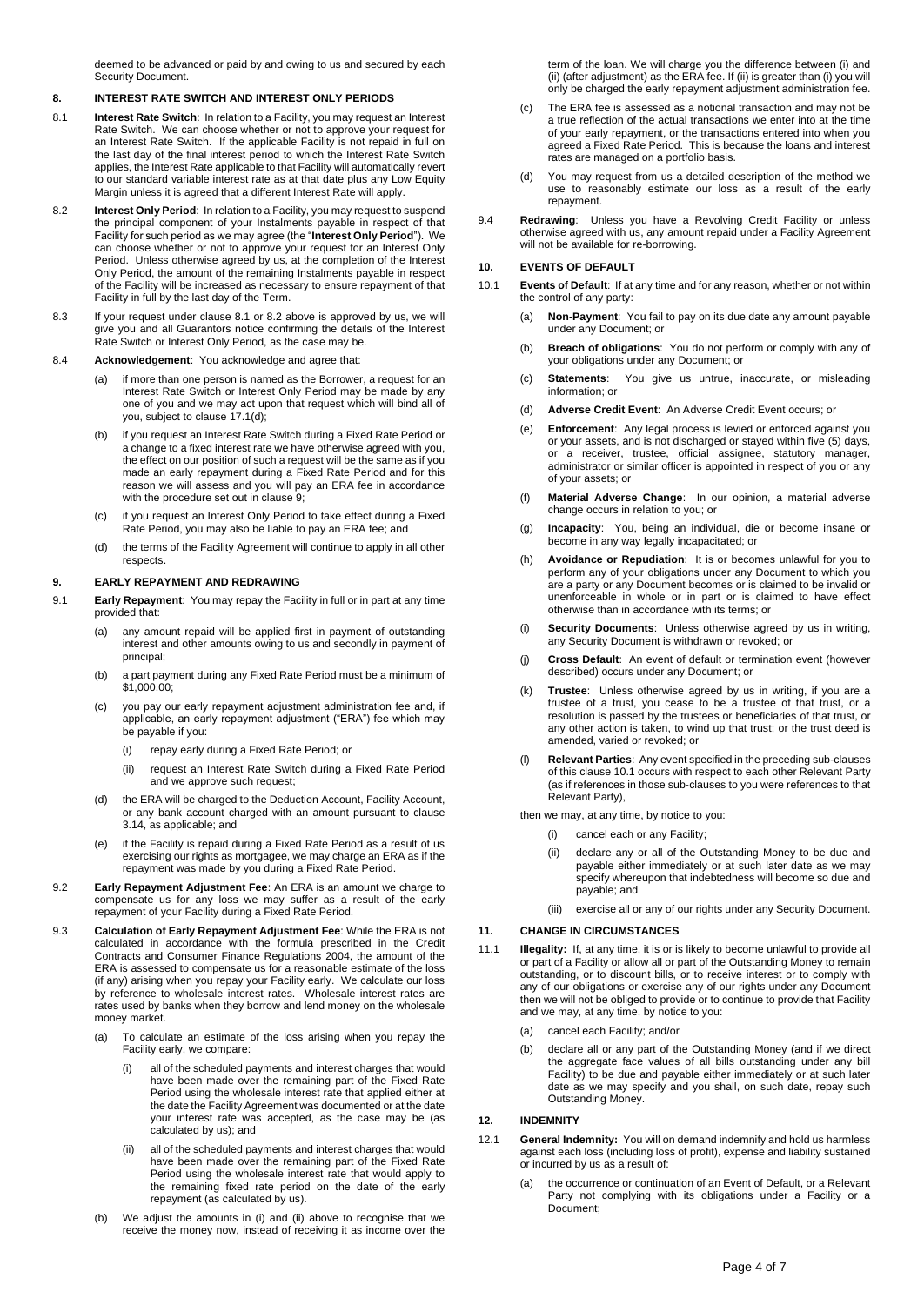deemed to be advanced or paid by and owing to us and secured by each Security Document.

### **8. INTEREST RATE SWITCH AND INTEREST ONLY PERIODS**

- 8.1 **Interest Rate Switch**: In relation to a Facility, you may request an Interest Rate Switch. We can choose whether or not to approve your request for an Interest Rate Switch. If the applicable Facility is not repaid in full on the last day of the final interest period to which the Interest Rate Switch applies, the Interest Rate applicable to that Facility will automatically revert to our standard variable interest rate as at that date plus any Low Equity Margin unless it is agreed that a different Interest Rate will apply.
- 8.2 **Interest Only Period**: In relation to a Facility, you may request to suspend the principal component of your Instalments payable in respect of that Facility for such period as we may agree (the "**Interest Only Period**"). We can choose whether or not to approve your request for an Interest Only Period. Unless otherwise agreed by us, at the completion of the Interest Only Period, the amount of the remaining Instalments payable in respect of the Facility will be increased as necessary to ensure repayment of that Facility in full by the last day of the Term.
- 8.3 If your request under clause 8.1 or 8.2 above is approved by us, we will give you and all Guarantors notice confirming the details of the Interest Rate Switch or Interest Only Period, as the case may be.
- 8.4 **Acknowledgement**: You acknowledge and agree that:
	- (a) if more than one person is named as the Borrower, a request for an Interest Rate Switch or Interest Only Period may be made by any one of you and we may act upon that request which will bind all of you, subject to clause 17.1(d);
	- (b) if you request an Interest Rate Switch during a Fixed Rate Period or a change to a fixed interest rate we have otherwise agreed with you, the effect on our position of such a request will be the same as if made an early repayment during a Fixed Rate Period and for this reason we will assess and you will pay an ERA fee in accordance with the procedure set out in clause 9;
	- if you request an Interest Only Period to take effect during a Fixed Rate Period, you may also be liable to pay an ERA fee; and
	- (d) the terms of the Facility Agreement will continue to apply in all other respects.

# **9. EARLY REPAYMENT AND REDRAWING**

- 9.1 **Early Repayment**: You may repay the Facility in full or in part at any time provided that:
	- (a) any amount repaid will be applied first in payment of outstanding interest and other amounts owing to us and secondly in payment of principal;
	- (b) a part payment during any Fixed Rate Period must be a minimum of \$1,000.00;
	- (c) you pay our early repayment adjustment administration fee and, if applicable, an early repayment adjustment ("ERA") fee which may be payable if you:
		- (i) repay early during a Fixed Rate Period; or
		- (ii) request an Interest Rate Switch during a Fixed Rate Period and we approve such request;
	- (d) the ERA will be charged to the Deduction Account, Facility Account, or any bank account charged with an amount pursuant to clause 3.14, as applicable; and
	- if the Facility is repaid during a Fixed Rate Period as a result of us exercising our rights as mortgagee, we may charge an ERA as if the repayment was made by you during a Fixed Rate Period.
- 9.2 **Early Repayment Adjustment Fee**: An ERA is an amount we charge to compensate us for any loss we may suffer as a result of the early repayment of your Facility during a Fixed Rate Period.
- 9.3 **Calculation of Early Repayment Adjustment Fee**: While the ERA is not calculated in accordance with the formula prescribed in the Credit Contracts and Consumer Finance Regulations 2004, the amount of the ERA is assessed to compensate us for a reasonable estimate of the loss (if any) arising when you repay your Facility early. We calculate our loss by reference to wholesale interest rates. Wholesale interest rates are rates used by banks when they borrow and lend money on the wholesale money market.
	- (a) To calculate an estimate of the loss arising when you repay the Facility early, we compare:
		- all of the scheduled payments and interest charges that would have been made over the remaining part of the Fixed Rate Period using the wholesale interest rate that applied either at the date the Facility Agreement was documented or at the date your interest rate was accepted, as the case may be (as calculated by us); and
		- (ii) all of the scheduled payments and interest charges that would have been made over the remaining part of the Fixed Rate Period using the wholesale interest rate that would apply to the remaining fixed rate period on the date of the early repayment (as calculated by us).
	- (b) We adjust the amounts in (i) and (ii) above to recognise that we receive the money now, instead of receiving it as income over the

term of the loan. We will charge you the difference between (i) and (ii) (after adjustment) as the ERA fee. If (ii) is greater than (i) you will only be charged the early repayment adjustment administration fee.

- (c) The ERA fee is assessed as a notional transaction and may not be a true reflection of the actual transactions we enter into at the time of your early repayment, or the transactions entered into when you agreed a Fixed Rate Period. This is because the loans and interest rates are managed on a portfolio basis.
- (d) You may request from us a detailed description of the method we use to reasonably estimate our loss as a result of the early repayment.
- 9.4 **Redrawing**: Unless you have a Revolving Credit Facility or unless otherwise agreed with us, any amount repaid under a Facility Agreement will not be available for re-borrowing.

# **10. EVENTS OF DEFAULT**

- 10.1 **Events of Default**: If at any time and for any reason, whether or not within the control of any party:
	- (a) **Non-Payment**: You fail to pay on its due date any amount payable under any Document; or
	- (b) **Breach of obligations**: You do not perform or comply with any of your obligations under any Document; or
	- (c) **Statements**: You give us untrue, inaccurate, or misleading information; or
	- (d) **Adverse Credit Event**: An Adverse Credit Event occurs; or
	- (e) **Enforcement**: Any legal process is levied or enforced against you or your assets, and is not discharged or stayed within five (5) days, or a receiver, trustee, official assignee, statutory manager, administrator or similar officer is appointed in respect of you or any of your assets; or
	- (f) **Material Adverse Change**: In our opinion, a material adverse change occurs in relation to you; or
	- (g) **Incapacity**: You, being an individual, die or become insane or become in any way legally incapacitated; or
	- (h) **Avoidance or Repudiation**: It is or becomes unlawful for you to perform any of your obligations under any Document to which you are a party or any Document becomes or is claimed to be invalid or unenforceable in whole or in part or is claimed to have effect otherwise than in accordance with its terms; or
	- (i) **Security Documents**: Unless otherwise agreed by us in writing, any Security Document is withdrawn or revoked; or
	- (j) **Cross Default**: An event of default or termination event (however described) occurs under any Document; or
	- (k) **Trustee**: Unless otherwise agreed by us in writing, if you are a trustee of a trust, you cease to be a trustee of that trust, or a resolution is passed by the trustees or beneficiaries of that trust, or any other action is taken, to wind up that trust; or the trust deed is amended, varied or revoked; or
	- (l) **Relevant Parties**: Any event specified in the preceding sub-clauses of this clause 10.1 occurs with respect to each other Relevant Party (as if references in those sub-clauses to you were references to that Relevant Party),

then we may, at any time, by notice to you:

- (i) cancel each or any Facility;
- (ii) declare any or all of the Outstanding Money to be due and payable either immediately or at such later date as we may specify whereupon that indebtedness will become so due and payable; and
- (iii) exercise all or any of our rights under any Security Document.

# **11. CHANGE IN CIRCUMSTANCES**

- 11.1 **Illegality:** If, at any time, it is or is likely to become unlawful to provide all or part of a Facility or allow all or part of the Outstanding Money to remain outstanding, or to discount bills, or to receive interest or to comply with any of our obligations or exercise any of our rights under any Document then we will not be obliged to provide or to continue to provide that Facility and we may, at any time, by notice to you:
	- (a) cancel each Facility; and/or
	- (b) declare all or any part of the Outstanding Money (and if we direct the aggregate face values of all bills outstanding under any bill Facility) to be due and payable either immediately or at such later date as we may specify and you shall, on such date, repay such Outstanding Money.

### **12. INDEMNITY**

- 12.1 **General Indemnity:** You will on demand indemnify and hold us harmless against each loss (including loss of profit), expense and liability sustained or incurred by us as a result of:
	- (a) the occurrence or continuation of an Event of Default, or a Relevant Party not complying with its obligations under a Facility or a Document;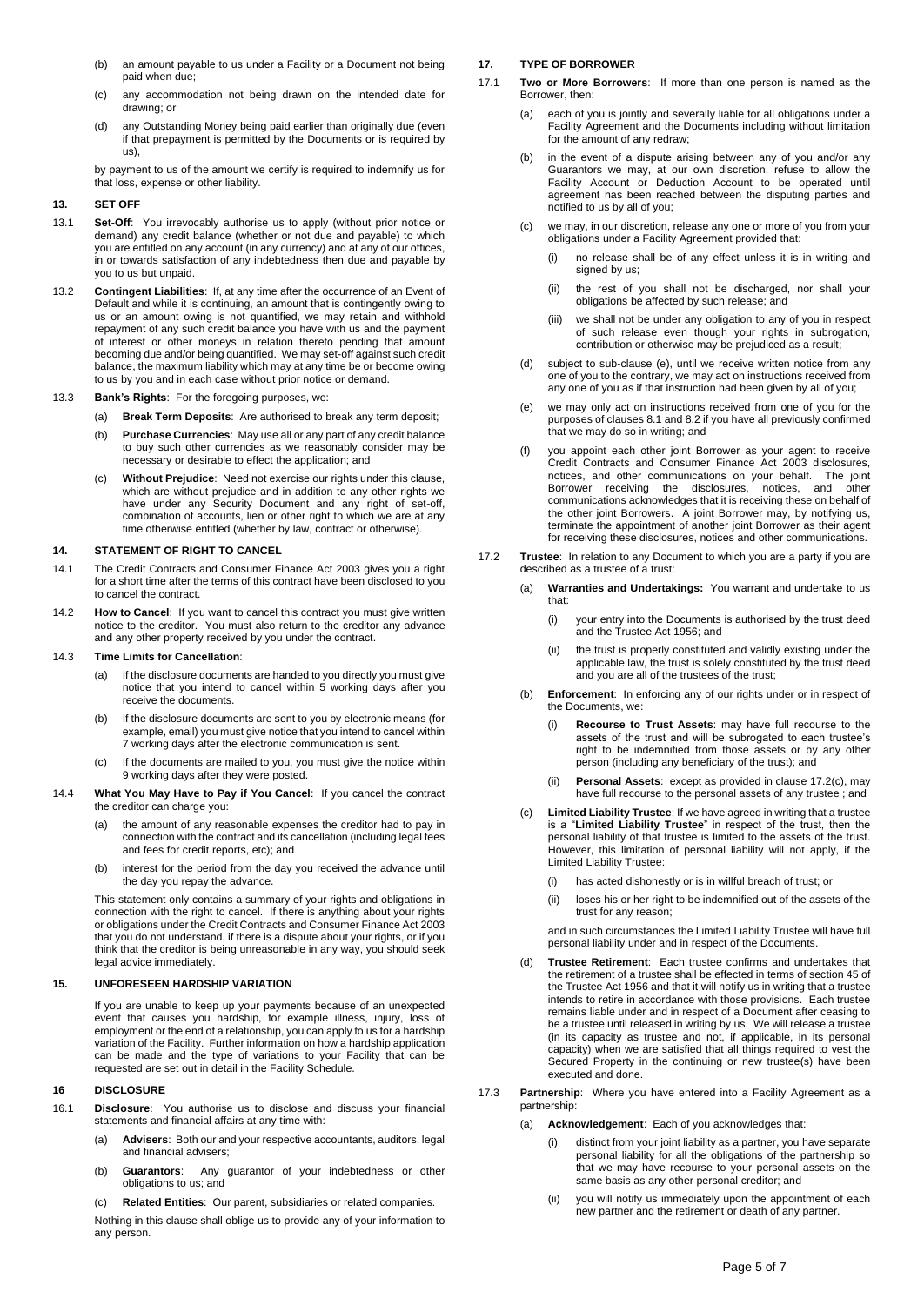- (b) an amount payable to us under a Facility or a Document not being paid when due;
- (c) any accommodation not being drawn on the intended date for drawing; or
- (d) any Outstanding Money being paid earlier than originally due (even if that prepayment is permitted by the Documents or is required by us),

by payment to us of the amount we certify is required to indemnify us for that loss, expense or other liability.

### **13. SET OFF**

- 13.1 **Set-Off**: You irrevocably authorise us to apply (without prior notice or demand) any credit balance (whether or not due and payable) to which you are entitled on any account (in any currency) and at any of our offices, in or towards satisfaction of any indebtedness then due and payable by you to us but unpaid.
- 13.2 **Contingent Liabilities**:If, at any time after the occurrence of an Event of Default and while it is continuing, an amount that is contingently owing to us or an amount owing is not quantified, we may retain and withhold repayment of any such credit balance you have with us and the payment of interest or other moneys in relation thereto pending that amount becoming due and/or being quantified. We may set-off against such credit balance, the maximum liability which may at any time be or become owing to us by you and in each case without prior notice or demand.
- 13.3 **Bank's Rights**:For the foregoing purposes, we:
	- (a) **Break Term Deposits**: Are authorised to break any term deposit;
	- (b) **Purchase Currencies**: May use all or any part of any credit balance to buy such other currencies as we reasonably consider may be necessary or desirable to effect the application; and
	- (c) **Without Prejudice**: Need not exercise our rights under this clause, which are without prejudice and in addition to any other rights we have under any Security Document and any right of set-off, combination of accounts, lien or other right to which we are at any time otherwise entitled (whether by law, contract or otherwise).

### **14. STATEMENT OF RIGHT TO CANCEL**

- 14.1 The Credit Contracts and Consumer Finance Act 2003 gives you a right for a short time after the terms of this contract have been disclosed to you to cancel the contract.
- 14.2 **How to Cancel**: If you want to cancel this contract you must give written notice to the creditor. You must also return to the creditor any advance and any other property received by you under the contract.

### 14.3 **Time Limits for Cancellation**:

- (a) If the disclosure documents are handed to you directly you must give notice that you intend to cancel within 5 working days after you receive the documents.
- (b) If the disclosure documents are sent to you by electronic means (for example, email) you must give notice that you intend to cancel within 7 working days after the electronic communication is sent.
- (c) If the documents are mailed to you, you must give the notice within 9 working days after they were posted.
- 14.4 **What You May Have to Pay if You Cancel**: If you cancel the contract the creditor can charge you:
	- the amount of any reasonable expenses the creditor had to pay in connection with the contract and its cancellation (including legal fees and fees for credit reports, etc); and
	- (b) interest for the period from the day you received the advance until the day you repay the advance.

This statement only contains a summary of your rights and obligations in connection with the right to cancel. If there is anything about your rights or obligations under the Credit Contracts and Consumer Finance Act 2003 that you do not understand, if there is a dispute about your rights, or if you think that the creditor is being unreasonable in any way, you should seek legal advice immediately.

### **15. UNFORESEEN HARDSHIP VARIATION**

If you are unable to keep up your payments because of an unexpected event that causes you hardship, for example illness, injury, loss of employment or the end of a relationship, you can apply to us for a hardship variation of the Facility. Further information on how a hardship application can be made and the type of variations to your Facility that can be requested are set out in detail in the Facility Schedule.

### **16 DISCLOSURE**

- 16.1 **Disclosure**: You authorise us to disclose and discuss your financial statements and financial affairs at any time with:
	- (a) **Advisers**: Both our and your respective accountants, auditors, legal and financial advisers;
	- (b) **Guarantors**: Any guarantor of your indebtedness or other obligations to us; and
	- (c) **Related Entities**: Our parent, subsidiaries or related companies.

Nothing in this clause shall oblige us to provide any of your information to any person.

# **17. TYPE OF BORROWER**

- 17.1 **Two or More Borrowers**: If more than one person is named as the Borrower, then:
	- (a) each of you is jointly and severally liable for all obligations under a Facility Agreement and the Documents including without limitation for the amount of any redraw;
	- (b) in the event of a dispute arising between any of you and/or any Guarantors we may, at our own discretion, refuse to allow the Facility Account or Deduction Account to be operated until agreement has been reached between the disputing parties and notified to us by all of you;
	- (c) we may, in our discretion, release any one or more of you from your obligations under a Facility Agreement provided that:
		- (i) no release shall be of any effect unless it is in writing and signed by us:
		- (ii) the rest of you shall not be discharged, nor shall your obligations be affected by such release; and
		- (iii) we shall not be under any obligation to any of you in respect of such release even though your rights in subrogation, contribution or otherwise may be prejudiced as a result;
	- (d) subject to sub-clause (e), until we receive written notice from any one of you to the contrary, we may act on instructions received from any one of you as if that instruction had been given by all of you;
	- (e) we may only act on instructions received from one of you for the purposes of clauses 8.1 and 8.2 if you have all previously confirmed that we may do so in writing; and
	- (f) you appoint each other joint Borrower as your agent to receive Credit Contracts and Consumer Finance Act 2003 disclosures, notices, and other communications on your behalf. The joint Borrower receiving the disclosures, notices, and other communications acknowledges that it is receiving these on behalf of the other joint Borrowers. A joint Borrower may, by notifying us, terminate the appointment of another joint Borrower as their agent for receiving these disclosures, notices and other communications.
- 17.2 **Trustee**: In relation to any Document to which you are a party if you are described as a trustee of a trust:
	- (a) **Warranties and Undertakings:** You warrant and undertake to us that:
		- (i) your entry into the Documents is authorised by the trust deed and the Trustee Act 1956; and
		- (ii) the trust is properly constituted and validly existing under the applicable law, the trust is solely constituted by the trust deed and you are all of the trustees of the trust;
	- (b) **Enforcement**: In enforcing any of our rights under or in respect of the Documents, we:
		- (i) **Recourse to Trust Assets**: may have full recourse to the assets of the trust and will be subrogated to each trustee's right to be indemnified from those assets or by any other person (including any beneficiary of the trust); and
		- (ii) **Personal Assets**: except as provided in clause 17.2(c), may have full recourse to the personal assets of any trustee ; and
	- Limited Liability Trustee: If we have agreed in writing that a trustee is a "**Limited Liability Trustee**" in respect of the trust, then the personal liability of that trustee is limited to the assets of the trust. However, this limitation of personal liability will not apply, if the Limited Liability Trustee:
		- (i) has acted dishonestly or is in willful breach of trust; or
		- (ii) loses his or her right to be indemnified out of the assets of the trust for any reason;

and in such circumstances the Limited Liability Trustee will have full personal liability under and in respect of the Documents.

- (d) **Trustee Retirement**: Each trustee confirms and undertakes that the retirement of a trustee shall be effected in terms of section 45 of the Trustee Act 1956 and that it will notify us in writing that a trustee intends to retire in accordance with those provisions. Each trustee remains liable under and in respect of a Document after ceasing to be a trustee until released in writing by us. We will release a trustee (in its capacity as trustee and not, if applicable, in its personal capacity) when we are satisfied that all things required to vest the Secured Property in the continuing or new trustee(s) have been executed and done.
- 17.3 **Partnership**: Where you have entered into a Facility Agreement as a partnership:
	- (a) **Acknowledgement**: Each of you acknowledges that:
		- (i) distinct from your joint liability as a partner, you have separate personal liability for all the obligations of the partnership so that we may have recourse to your personal assets on the same basis as any other personal creditor; and
		- (ii) you will notify us immediately upon the appointment of each new partner and the retirement or death of any partner.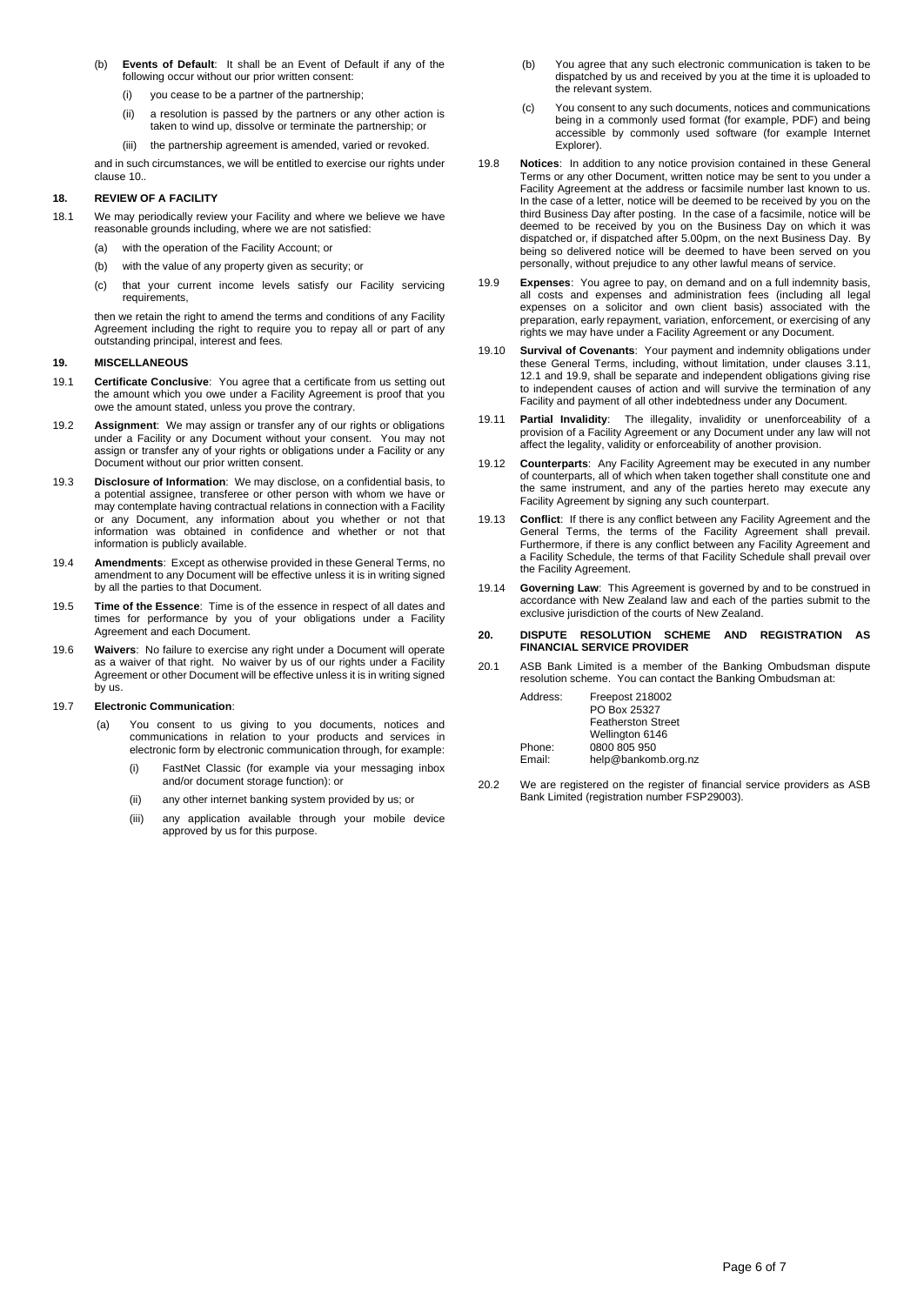- (b) **Events of Default**: It shall be an Event of Default if any of the following occur without our prior written consent:
	- you cease to be a partner of the partnership
	- (ii) a resolution is passed by the partners or any other action is taken to wind up, dissolve or terminate the partnership; or
	- (iii) the partnership agreement is amended, varied or revoked.

and in such circumstances, we will be entitled to exercise our rights under clause 10.*.*

# **18. REVIEW OF A FACILITY**

- 18.1 We may periodically review your Facility and where we believe we have reasonable grounds including, where we are not satisfied:
	- (a) with the operation of the Facility Account; or
	- (b) with the value of any property given as security; or
	- (c) that your current income levels satisfy our Facility servicing requirements,

then we retain the right to amend the terms and conditions of any Facility Agreement including the right to require you to repay all or part of any outstanding principal, interest and fees*.*

# **19. MISCELLANEOUS**

- 19.1 **Certificate Conclusive**: You agree that a certificate from us setting out the amount which you owe under a Facility Agreement is proof that you owe the amount stated, unless you prove the contrary.
- 19.2 **Assignment**: We may assign or transfer any of our rights or obligations under a Facility or any Document without your consent. You may not assign or transfer any of your rights or obligations under a Facility or any Document without our prior written consent.
- 19.3 **Disclosure of Information**: We may disclose, on a confidential basis, to a potential assignee, transferee or other person with whom we have or may contemplate having contractual relations in connection with a Facility or any Document, any information about you whether or not that information was obtained in confidence and whether or not that information is publicly available.
- 19.4 **Amendments**: Except as otherwise provided in these General Terms, no amendment to any Document will be effective unless it is in writing signed by all the parties to that Document.
- 19.5 **Time of the Essence**: Time is of the essence in respect of all dates and times for performance by you of your obligations under a Facility Agreement and each Document.
- 19.6 **Waivers**: No failure to exercise any right under a Document will operate as a waiver of that right. No waiver by us of our rights under a Facility Agreement or other Document will be effective unless it is in writing signed by us.

### 19.7 **Electronic Communication**:

- (a) You consent to us giving to you documents, notices and communications in relation to your products and services in electronic form by electronic communication through, for example:
	- (i) FastNet Classic (for example via your messaging inbox and/or document storage function): or
	- (ii) any other internet banking system provided by us; or
	- (iii) any application available through your mobile device approved by us for this purpose.
- (b) You agree that any such electronic communication is taken to be dispatched by us and received by you at the time it is uploaded to the relevant system.
- (c) You consent to any such documents, notices and communications being in a commonly used format (for example, PDF) and being accessible by commonly used software (for example Internet Explorer).
- 19.8 **Notices**: In addition to any notice provision contained in these General Terms or any other Document, written notice may be sent to you under a Facility Agreement at the address or facsimile number last known to us. In the case of a letter, notice will be deemed to be received by you on the third Business Day after posting. In the case of a facsimile, notice will be deemed to be received by you on the Business Day on which it was dispatched or, if dispatched after 5.00pm, on the next Business Day. By being so delivered notice will be deemed to have been served on you personally, without prejudice to any other lawful means of service.
- 19.9 **Expenses**: You agree to pay, on demand and on a full indemnity basis, all costs and expenses and administration fees (including all legal expenses on a solicitor and own client basis) associated with the preparation, early repayment, variation, enforcement, or exercising of any rights we may have under a Facility Agreement or any Document.
- 19.10 **Survival of Covenants**:Your payment and indemnity obligations under these General Terms, including, without limitation, under clauses 3.11, 12.1 and 19.9, shall be separate and independent obligations giving rise to independent causes of action and will survive the termination of any Facility and payment of all other indebtedness under any Document.
- 19.11 **Partial Invalidity**: The illegality, invalidity or unenforceability of a provision of a Facility Agreement or any Document under any law will not affect the legality, validity or enforceability of another provision.
- 19.12 **Counterparts**: Any Facility Agreement may be executed in any number of counterparts, all of which when taken together shall constitute one and the same instrument, and any of the parties hereto may execute any Facility Agreement by signing any such counterpart.
- 19.13 **Conflict**: If there is any conflict between any Facility Agreement and the General Terms, the terms of the Facility Agreement shall prevail. Furthermore, if there is any conflict between any Facility Agreement and a Facility Schedule, the terms of that Facility Schedule shall prevail over the Facility Agreement.
- 19.14 **Governing Law**: This Agreement is governed by and to be construed in accordance with New Zealand law and each of the parties submit to the exclusive jurisdiction of the courts of New Zealand.

### **20. DISPUTE RESOLUTION SCHEME AND REGISTRATION AS FINANCIAL SERVICE PROVIDER**

20.1 ASB Bank Limited is a member of the Banking Ombudsman dispute resolution scheme. You can contact the Banking Ombudsman at:

| Address: | Freepost 218002           |
|----------|---------------------------|
|          | PO Box 25327              |
|          | <b>Featherston Street</b> |
|          | Wellington 6146           |
| Phone:   | 0800 805 950              |
| Email:   | help@bankomb.org.nz       |

20.2 We are registered on the register of financial service providers as ASB Bank Limited (registration number FSP29003).